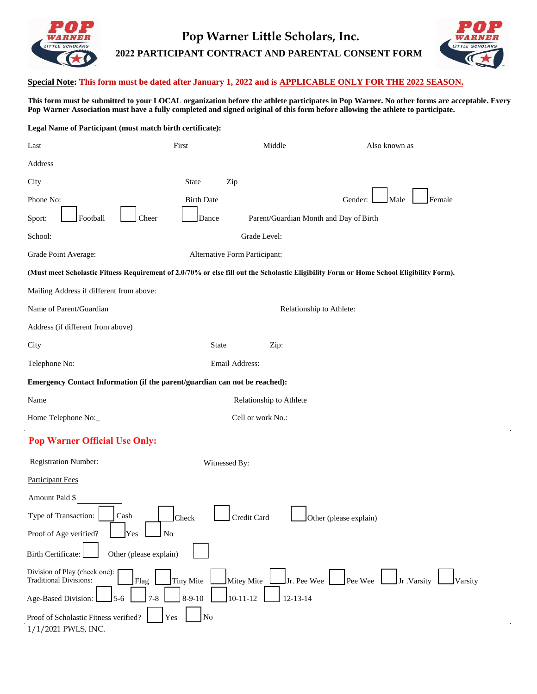

## **Pop Warner Little Scholars, Inc. 2022 PARTICIPANT CONTRACT AND PARENTAL CONSENT FORM**



## **Special Note: This form must be dated after January 1, 2022 and is APPLICABLE ONLY FOR THE 2022 SEASON.**

**This form must be submitted to your LOCAL organization before the athlete participates in Pop Warner. No other forms are acceptable. Every Pop Warner Association must have a fully completed and signed original of this form before allowing the athlete to participate.** 

| Legal Name of Participant (must match birth certificate):                                                                               |                               |                                        |                                      |
|-----------------------------------------------------------------------------------------------------------------------------------------|-------------------------------|----------------------------------------|--------------------------------------|
| Last                                                                                                                                    | First                         | Middle                                 | Also known as                        |
| Address                                                                                                                                 |                               |                                        |                                      |
| City                                                                                                                                    | State<br>Zip                  |                                        |                                      |
| Phone No:                                                                                                                               | <b>Birth Date</b>             |                                        | Female<br>Gender:<br>Male            |
| Football<br>Sport:<br>Cheer                                                                                                             | Dance                         | Parent/Guardian Month and Day of Birth |                                      |
| School:                                                                                                                                 |                               | Grade Level:                           |                                      |
| Grade Point Average:                                                                                                                    | Alternative Form Participant: |                                        |                                      |
| (Must meet Scholastic Fitness Requirement of 2.0/70% or else fill out the Scholastic Eligibility Form or Home School Eligibility Form). |                               |                                        |                                      |
| Mailing Address if different from above:                                                                                                |                               |                                        |                                      |
| Name of Parent/Guardian                                                                                                                 |                               | Relationship to Athlete:               |                                      |
| Address (if different from above)                                                                                                       |                               |                                        |                                      |
| City                                                                                                                                    | State                         | Zip:                                   |                                      |
| Telephone No:                                                                                                                           | Email Address:                |                                        |                                      |
| Emergency Contact Information (if the parent/guardian can not be reached):                                                              |                               |                                        |                                      |
| Name                                                                                                                                    |                               | Relationship to Athlete                |                                      |
| Home Telephone No:_                                                                                                                     |                               | Cell or work No.:                      |                                      |
| <b>Pop Warner Official Use Only:</b>                                                                                                    |                               |                                        |                                      |
| Registration Number:                                                                                                                    | Witnessed By:                 |                                        |                                      |
| <b>Participant Fees</b>                                                                                                                 |                               |                                        |                                      |
| Amount Paid \$                                                                                                                          |                               |                                        |                                      |
| Type of Transaction:<br>$\operatorname{Cash}$                                                                                           | Credit Card<br><b>Check</b>   | <b>Lett</b> Other (please explain)     |                                      |
| Proof of Age verified?<br>Yes<br><b>No</b>                                                                                              |                               |                                        |                                      |
| Other (please explain)<br><b>Birth Certificate:</b>                                                                                     |                               |                                        |                                      |
| Division of Play (check one):<br><b>Traditional Divisions:</b><br>Flag                                                                  | Tiny Mite<br>Mitey Mite       | Jr. Pee Wee                            | Pee Wee<br>$Jr$ . Varsity<br>Varsity |
| Age-Based Division:<br>$7 - 8$<br>$5 - 6$                                                                                               | $10 - 11 - 12$<br>$8-9-10$    | $12 - 13 - 14$                         |                                      |
| Proof of Scholastic Fitness verified?<br>1/1/2021 PWLS, INC.                                                                            | No<br>Yes                     |                                        |                                      |